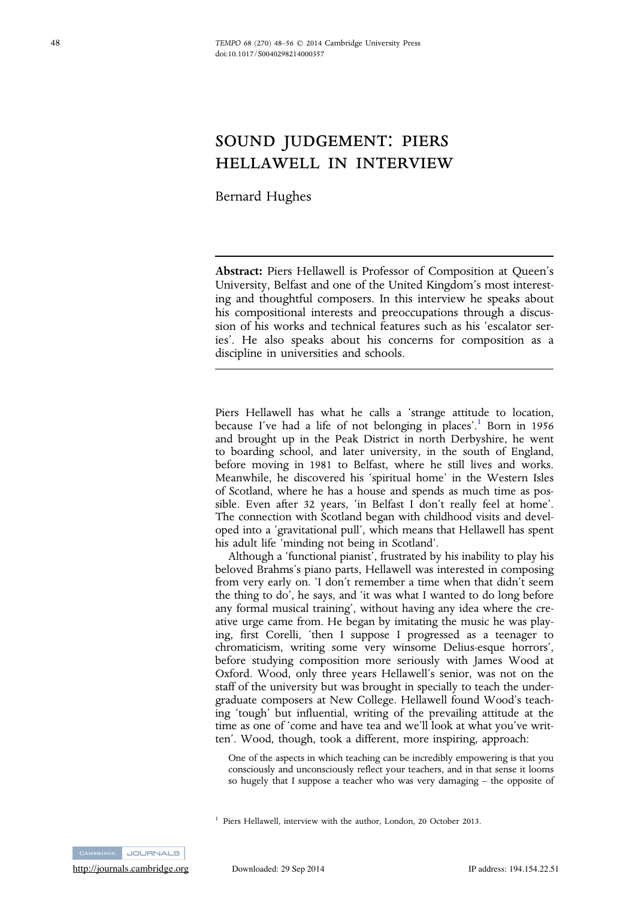## sound judgement: piers hellawell in interview

Bernard Hughes

Abstract: Piers Hellawell is Professor of Composition at Queen's University, Belfast and one of the United Kingdom's most interesting and thoughtful composers. In this interview he speaks about his compositional interests and preoccupations through a discussion of his works and technical features such as his 'escalator series'. He also speaks about his concerns for composition as a discipline in universities and schools.

Piers Hellawell has what he calls a 'strange attitude to location, because I've had a life of not belonging in places'.<sup>1</sup> Born in 1956 and brought up in the Peak District in north Derbyshire, he went to boarding school, and later university, in the south of England, before moving in 1981 to Belfast, where he still lives and works. Meanwhile, he discovered his 'spiritual home' in the Western Isles of Scotland, where he has a house and spends as much time as possible. Even after 32 years, 'in Belfast I don't really feel at home'. The connection with Scotland began with childhood visits and developed into a 'gravitational pull', which means that Hellawell has spent his adult life 'minding not being in Scotland'.

Although a 'functional pianist', frustrated by his inability to play his beloved Brahms's piano parts, Hellawell was interested in composing from very early on. 'I don't remember a time when that didn't seem the thing to do', he says, and 'it was what I wanted to do long before any formal musical training', without having any idea where the creative urge came from. He began by imitating the music he was playing, first Corelli, 'then I suppose I progressed as a teenager to chromaticism, writing some very winsome Delius-esque horrors', before studying composition more seriously with James Wood at Oxford. Wood, only three years Hellawell's senior, was not on the staff of the university but was brought in specially to teach the undergraduate composers at New College. Hellawell found Wood's teaching 'tough' but influential, writing of the prevailing attitude at the time as one of 'come and have tea and we'll look at what you've written'. Wood, though, took a different, more inspiring, approach:

One of the aspects in which teaching can be incredibly empowering is that you consciously and unconsciously reflect your teachers, and in that sense it looms so hugely that I suppose a teacher who was very damaging – the opposite of

<sup>&</sup>lt;sup>1</sup> Piers Hellawell, interview with the author, London, 20 October 2013.

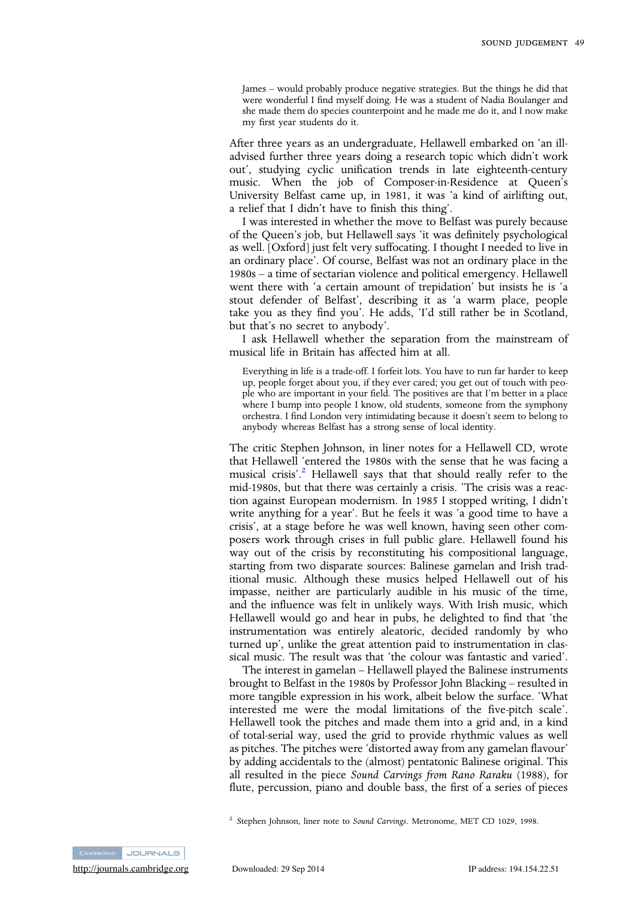James – would probably produce negative strategies. But the things he did that were wonderful I find myself doing. He was a student of Nadia Boulanger and she made them do species counterpoint and he made me do it, and I now make my first year students do it.

After three years as an undergraduate, Hellawell embarked on 'an illadvised further three years doing a research topic which didn't work out', studying cyclic unification trends in late eighteenth-century music. When the job of Composer-in-Residence at Queen's University Belfast came up, in 1981, it was 'a kind of airlifting out, a relief that I didn't have to finish this thing'.

I was interested in whether the move to Belfast was purely because of the Queen's job, but Hellawell says 'it was definitely psychological as well. [Oxford] just felt very suffocating. I thought I needed to live in an ordinary place'. Of course, Belfast was not an ordinary place in the 1980s – a time of sectarian violence and political emergency. Hellawell went there with 'a certain amount of trepidation' but insists he is 'a stout defender of Belfast', describing it as 'a warm place, people take you as they find you'. He adds, 'I'd still rather be in Scotland, but that's no secret to anybody'.

I ask Hellawell whether the separation from the mainstream of musical life in Britain has affected him at all.

Everything in life is a trade-off. I forfeit lots. You have to run far harder to keep up, people forget about you, if they ever cared; you get out of touch with people who are important in your field. The positives are that I'm better in a place where I bump into people I know, old students, someone from the symphony orchestra. I find London very intimidating because it doesn't seem to belong to anybody whereas Belfast has a strong sense of local identity.

The critic Stephen Johnson, in liner notes for a Hellawell CD, wrote that Hellawell 'entered the 1980s with the sense that he was facing a musical crisis'. <sup>2</sup> Hellawell says that that should really refer to the mid-1980s, but that there was certainly a crisis. 'The crisis was a reaction against European modernism. In 1985 I stopped writing, I didn't write anything for a year'. But he feels it was 'a good time to have a crisis', at a stage before he was well known, having seen other composers work through crises in full public glare. Hellawell found his way out of the crisis by reconstituting his compositional language, starting from two disparate sources: Balinese gamelan and Irish traditional music. Although these musics helped Hellawell out of his impasse, neither are particularly audible in his music of the time, and the influence was felt in unlikely ways. With Irish music, which Hellawell would go and hear in pubs, he delighted to find that 'the instrumentation was entirely aleatoric, decided randomly by who turned up', unlike the great attention paid to instrumentation in classical music. The result was that 'the colour was fantastic and varied'.

The interest in gamelan – Hellawell played the Balinese instruments brought to Belfast in the 1980s by Professor John Blacking – resulted in more tangible expression in his work, albeit below the surface. 'What interested me were the modal limitations of the five-pitch scale'. Hellawell took the pitches and made them into a grid and, in a kind of total-serial way, used the grid to provide rhythmic values as well as pitches. The pitches were 'distorted away from any gamelan flavour' by adding accidentals to the (almost) pentatonic Balinese original. This all resulted in the piece Sound Carvings from Rano Raraku (1988), for flute, percussion, piano and double bass, the first of a series of pieces

<sup>&</sup>lt;sup>2</sup> Stephen Johnson, liner note to Sound Carvings. Metronome, MET CD 1029, 1998.

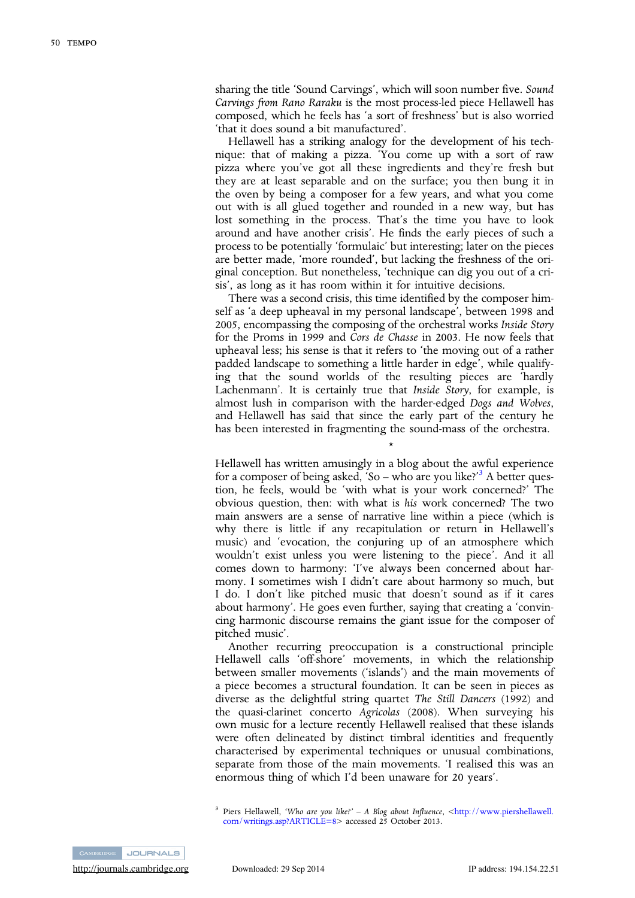sharing the title 'Sound Carvings', which will soon number five. Sound Carvings from Rano Raraku is the most process-led piece Hellawell has composed, which he feels has 'a sort of freshness' but is also worried 'that it does sound a bit manufactured'.

Hellawell has a striking analogy for the development of his technique: that of making a pizza. 'You come up with a sort of raw pizza where you've got all these ingredients and they're fresh but they are at least separable and on the surface; you then bung it in the oven by being a composer for a few years, and what you come out with is all glued together and rounded in a new way, but has lost something in the process. That's the time you have to look around and have another crisis'. He finds the early pieces of such a process to be potentially 'formulaic' but interesting; later on the pieces are better made, 'more rounded', but lacking the freshness of the original conception. But nonetheless, 'technique can dig you out of a crisis', as long as it has room within it for intuitive decisions.

There was a second crisis, this time identified by the composer himself as 'a deep upheaval in my personal landscape', between 1998 and 2005, encompassing the composing of the orchestral works Inside Story for the Proms in 1999 and Cors de Chasse in 2003. He now feels that upheaval less; his sense is that it refers to 'the moving out of a rather padded landscape to something a little harder in edge', while qualifying that the sound worlds of the resulting pieces are 'hardly Lachenmann'. It is certainly true that Inside Story, for example, is almost lush in comparison with the harder-edged Dogs and Wolves, and Hellawell has said that since the early part of the century he has been interested in fragmenting the sound-mass of the orchestra.

\*

Hellawell has written amusingly in a blog about the awful experience for a composer of being asked, 'So – who are you like?'<sup>3</sup> A better question, he feels, would be 'with what is your work concerned?' The obvious question, then: with what is his work concerned? The two main answers are a sense of narrative line within a piece (which is why there is little if any recapitulation or return in Hellawell's music) and 'evocation, the conjuring up of an atmosphere which wouldn't exist unless you were listening to the piece'. And it all comes down to harmony: 'I've always been concerned about harmony. I sometimes wish I didn't care about harmony so much, but I do. I don't like pitched music that doesn't sound as if it cares about harmony'. He goes even further, saying that creating a 'convincing harmonic discourse remains the giant issue for the composer of pitched music'.

Another recurring preoccupation is a constructional principle Hellawell calls 'off-shore' movements, in which the relationship between smaller movements ('islands') and the main movements of a piece becomes a structural foundation. It can be seen in pieces as diverse as the delightful string quartet The Still Dancers (1992) and the quasi-clarinet concerto Agricolas (2008). When surveying his own music for a lecture recently Hellawell realised that these islands were often delineated by distinct timbral identities and frequently characterised by experimental techniques or unusual combinations, separate from those of the main movements. 'I realised this was an enormous thing of which I'd been unaware for 20 years'.

<sup>&</sup>lt;sup>3</sup> Piers Hellawell, 'Who are you like?' – A Blog about Influence,  $\frac{\text{http://www.piershellawell.}}{\text{http://www.piershellawell.}}$ com/writings.asp?ARTICLE=8> accessed 25 October 2013.

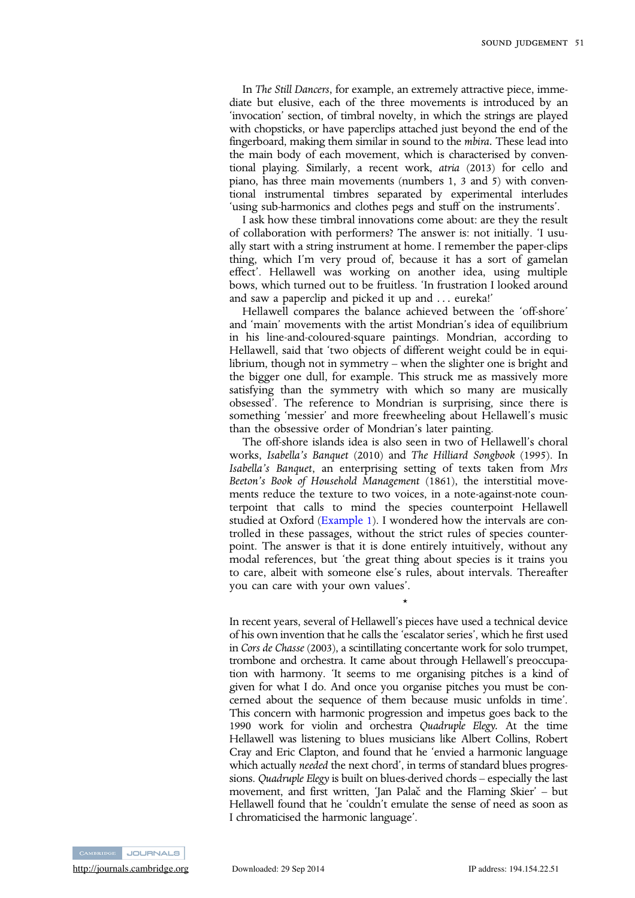In The Still Dancers, for example, an extremely attractive piece, immediate but elusive, each of the three movements is introduced by an 'invocation' section, of timbral novelty, in which the strings are played with chopsticks, or have paperclips attached just beyond the end of the fingerboard, making them similar in sound to the mbira. These lead into the main body of each movement, which is characterised by conventional playing. Similarly, a recent work, atria (2013) for cello and piano, has three main movements (numbers 1, 3 and 5) with conventional instrumental timbres separated by experimental interludes 'using sub-harmonics and clothes pegs and stuff on the instruments'.

I ask how these timbral innovations come about: are they the result of collaboration with performers? The answer is: not initially. 'I usually start with a string instrument at home. I remember the paper-clips thing, which I'm very proud of, because it has a sort of gamelan effect'. Hellawell was working on another idea, using multiple bows, which turned out to be fruitless. 'In frustration I looked around and saw a paperclip and picked it up and ... eureka!'

Hellawell compares the balance achieved between the 'off-shore' and 'main' movements with the artist Mondrian's idea of equilibrium in his line-and-coloured-square paintings. Mondrian, according to Hellawell, said that 'two objects of different weight could be in equilibrium, though not in symmetry – when the slighter one is bright and the bigger one dull, for example. This struck me as massively more satisfying than the symmetry with which so many are musically obsessed'. The reference to Mondrian is surprising, since there is something 'messier' and more freewheeling about Hellawell's music than the obsessive order of Mondrian's later painting.

The off-shore islands idea is also seen in two of Hellawell's choral works, Isabella's Banquet (2010) and The Hilliard Songbook (1995). In Isabella's Banquet, an enterprising setting of texts taken from Mrs Beeton's Book of Household Management (1861), the interstitial movements reduce the texture to two voices, in a note-against-note counterpoint that calls to mind the species counterpoint Hellawell studied at Oxford (Example 1). I wondered how the intervals are controlled in these passages, without the strict rules of species counterpoint. The answer is that it is done entirely intuitively, without any modal references, but 'the great thing about species is it trains you to care, albeit with someone else's rules, about intervals. Thereafter you can care with your own values'.

\*

In recent years, several of Hellawell's pieces have used a technical device of his own invention that he calls the 'escalator series', which he first used in Cors de Chasse (2003), a scintillating concertante work for solo trumpet, trombone and orchestra. It came about through Hellawell's preoccupation with harmony. 'It seems to me organising pitches is a kind of given for what I do. And once you organise pitches you must be concerned about the sequence of them because music unfolds in time'. This concern with harmonic progression and impetus goes back to the 1990 work for violin and orchestra Quadruple Elegy. At the time Hellawell was listening to blues musicians like Albert Collins, Robert Cray and Eric Clapton, and found that he 'envied a harmonic language which actually *needed* the next chord', in terms of standard blues progressions. Quadruple Elegy is built on blues-derived chords – especially the last movement, and first written, 'Jan Palačand the Flaming Skier' – but Hellawell found that he 'couldn't emulate the sense of need as soon as I chromaticised the harmonic language'.

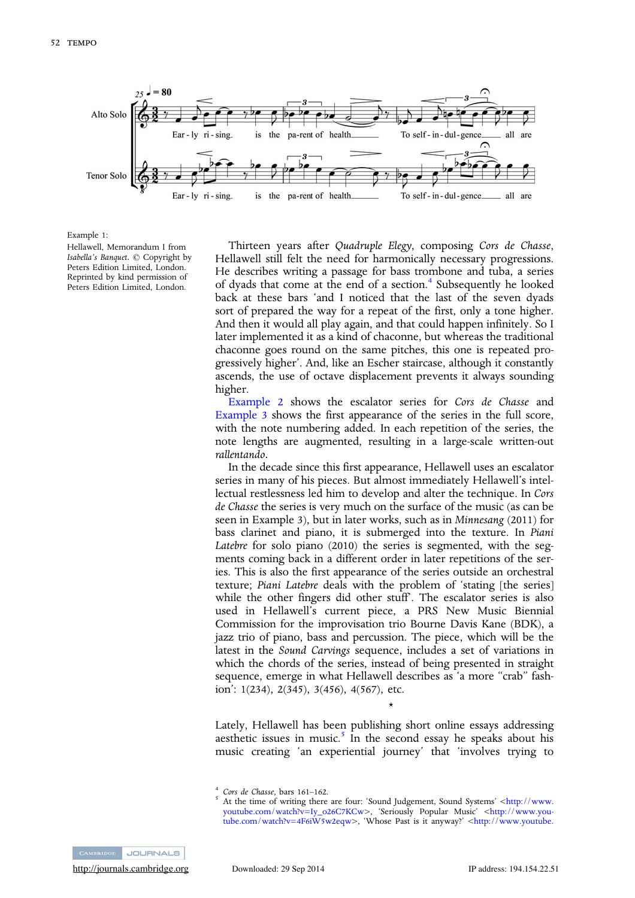

## Example 1:

Hellawell, Memorandum I from Isabella's Banquet. © Copyright by Peters Edition Limited, London. Reprinted by kind permission of Peters Edition Limited, London.

Thirteen years after Quadruple Elegy, composing Cors de Chasse, Hellawell still felt the need for harmonically necessary progressions. He describes writing a passage for bass trombone and tuba, a series of dyads that come at the end of a section.<sup>4</sup> Subsequently he looked back at these bars 'and I noticed that the last of the seven dyads sort of prepared the way for a repeat of the first, only a tone higher. And then it would all play again, and that could happen infinitely. So I later implemented it as a kind of chaconne, but whereas the traditional chaconne goes round on the same pitches, this one is repeated progressively higher'. And, like an Escher staircase, although it constantly ascends, the use of octave displacement prevents it always sounding higher.

Example 2 shows the escalator series for Cors de Chasse and Example 3 shows the first appearance of the series in the full score, with the note numbering added. In each repetition of the series, the note lengths are augmented, resulting in a large-scale written-out rallentando.

In the decade since this first appearance, Hellawell uses an escalator series in many of his pieces. But almost immediately Hellawell's intellectual restlessness led him to develop and alter the technique. In Cors de Chasse the series is very much on the surface of the music (as can be seen in Example 3), but in later works, such as in Minnesang (2011) for bass clarinet and piano, it is submerged into the texture. In Piani Latebre for solo piano (2010) the series is segmented, with the segments coming back in a different order in later repetitions of the series. This is also the first appearance of the series outside an orchestral texture; Piani Latebre deals with the problem of 'stating [the series] while the other fingers did other stuff'. The escalator series is also used in Hellawell's current piece, a PRS New Music Biennial Commission for the improvisation trio Bourne Davis Kane (BDK), a jazz trio of piano, bass and percussion. The piece, which will be the latest in the Sound Carvings sequence, includes a set of variations in which the chords of the series, instead of being presented in straight sequence, emerge in what Hellawell describes as 'a more "crab" fashion': 1(234), 2(345), 3(456), 4(567), etc.

Lately, Hellawell has been publishing short online essays addressing aesthetic issues in music.<sup>5</sup> In the second essay he speaks about his music creating 'an experiential journey' that 'involves trying to

\*

Cors de Chasse, bars 161–162.<br>At the time of writing there are four: 'Sound Judgement, Sound Systems' <http://www. youtube.com/watch?v=Iy\_o26C7KCw>, 'Seriously Popular Music' <http://www.youtube.com/watch?v=4F6iW5w2eqw>, 'Whose Past is it anyway?' <http://www.youtube.

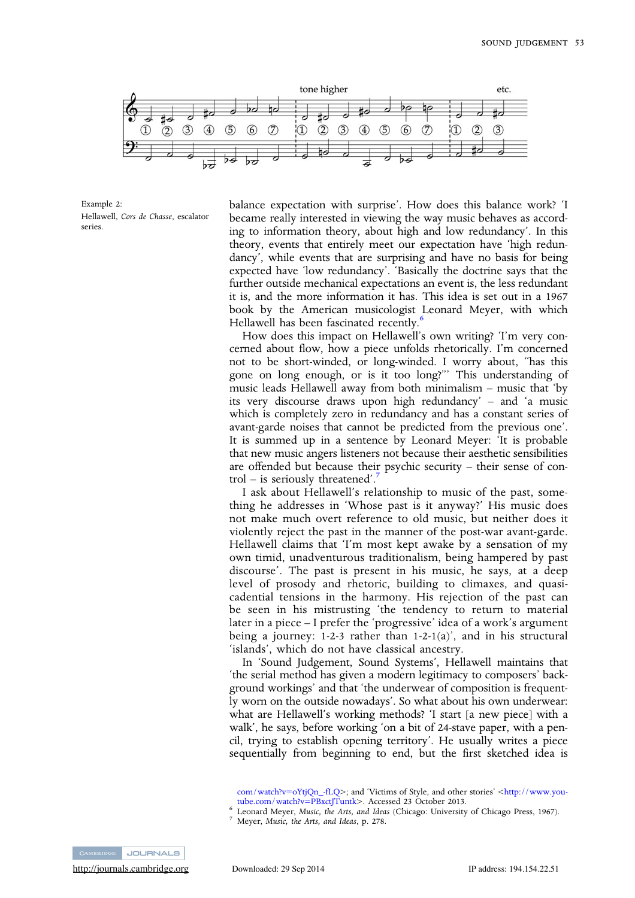

Example 2: Hellawell, Cors de Chasse, escalator series.

balance expectation with surprise'. How does this balance work? 'I became really interested in viewing the way music behaves as according to information theory, about high and low redundancy'. In this theory, events that entirely meet our expectation have 'high redundancy', while events that are surprising and have no basis for being expected have 'low redundancy'. 'Basically the doctrine says that the further outside mechanical expectations an event is, the less redundant it is, and the more information it has. This idea is set out in a 1967 book by the American musicologist Leonard Meyer, with which Hellawell has been fascinated recently.<sup>6</sup>

How does this impact on Hellawell's own writing? 'I'm very concerned about flow, how a piece unfolds rhetorically. I'm concerned not to be short-winded, or long-winded. I worry about, "has this gone on long enough, or is it too long?"' This understanding of music leads Hellawell away from both minimalism – music that 'by its very discourse draws upon high redundancy' – and 'a music which is completely zero in redundancy and has a constant series of avant-garde noises that cannot be predicted from the previous one'. It is summed up in a sentence by Leonard Meyer: 'It is probable that new music angers listeners not because their aesthetic sensibilities are offended but because their psychic security – their sense of control – is seriously threatened'.<sup>7</sup>

I ask about Hellawell's relationship to music of the past, something he addresses in 'Whose past is it anyway?' His music does not make much overt reference to old music, but neither does it violently reject the past in the manner of the post-war avant-garde. Hellawell claims that 'I'm most kept awake by a sensation of my own timid, unadventurous traditionalism, being hampered by past discourse'. The past is present in his music, he says, at a deep level of prosody and rhetoric, building to climaxes, and quasicadential tensions in the harmony. His rejection of the past can be seen in his mistrusting 'the tendency to return to material later in a piece – I prefer the 'progressive' idea of a work's argument being a journey: 1-2-3 rather than  $1-2-1(a)$ , and in his structural 'islands', which do not have classical ancestry.

In 'Sound Judgement, Sound Systems', Hellawell maintains that 'the serial method has given a modern legitimacy to composers' background workings' and that 'the underwear of composition is frequently worn on the outside nowadays'. So what about his own underwear: what are Hellawell's working methods? 'I start [a new piece] with a walk', he says, before working 'on a bit of 24-stave paper, with a pencil, trying to establish opening territory'. He usually writes a piece sequentially from beginning to end, but the first sketched idea is



com/watch?v=oYtjQn\_-fLQ>; and 'Victims of Style, and other stories' <http://www.you-

tube.com/watch?v=PBxctJTuntk>. Accessed 23 October 2013. <sup>6</sup> Leonard Meyer, Music, the Arts, and Ideas (Chicago: University of Chicago Press, 1967). <sup>7</sup> Meyer, Music, the Arts, and Ideas, p. 278.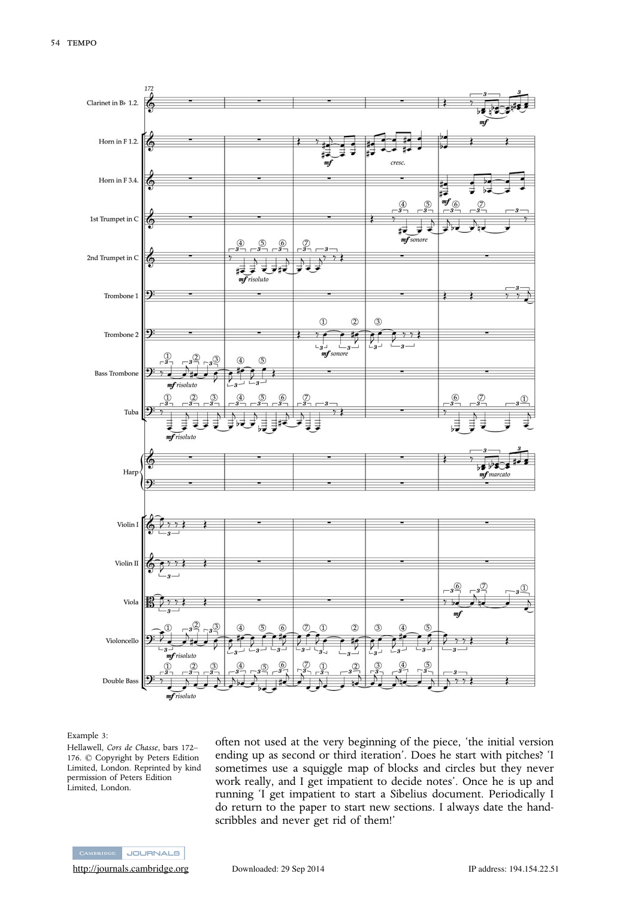

Example 3:

Hellawell, Cors de Chasse, bars 172– 176. © Copyright by Peters Edition Limited, London. Reprinted by kind permission of Peters Edition Limited, London.

often not used at the very beginning of the piece, 'the initial version ending up as second or third iteration'. Does he start with pitches? 'I sometimes use a squiggle map of blocks and circles but they never work really, and I get impatient to decide notes'. Once he is up and running 'I get impatient to start a Sibelius document. Periodically I do return to the paper to start new sections. I always date the handscribbles and never get rid of them!'

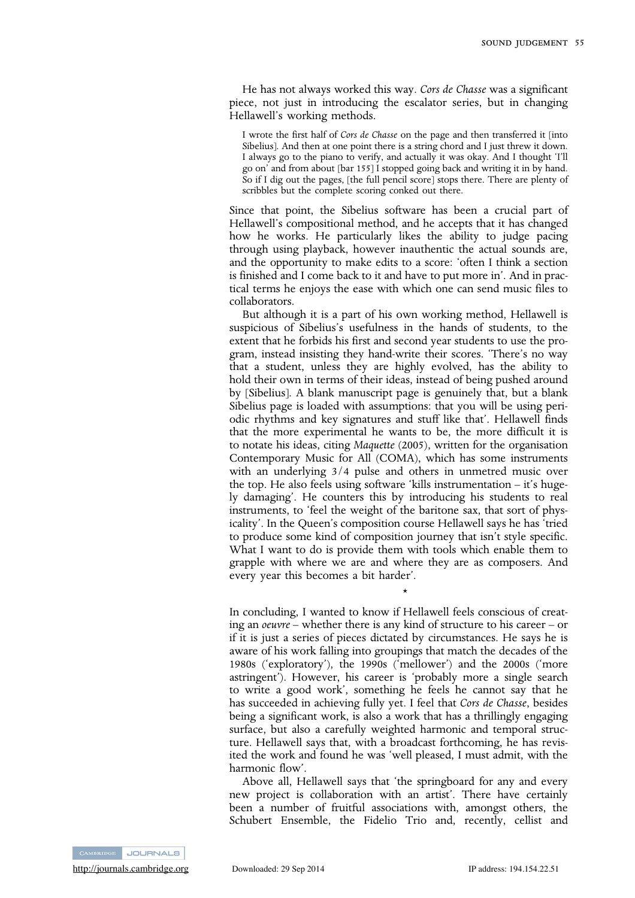He has not always worked this way. Cors de Chasse was a significant piece, not just in introducing the escalator series, but in changing Hellawell's working methods.

I wrote the first half of Cors de Chasse on the page and then transferred it [into Sibelius]. And then at one point there is a string chord and I just threw it down. I always go to the piano to verify, and actually it was okay. And I thought 'I'll go on' and from about [bar 155] I stopped going back and writing it in by hand. So if I dig out the pages, [the full pencil score] stops there. There are plenty of scribbles but the complete scoring conked out there.

Since that point, the Sibelius software has been a crucial part of Hellawell's compositional method, and he accepts that it has changed how he works. He particularly likes the ability to judge pacing through using playback, however inauthentic the actual sounds are, and the opportunity to make edits to a score: 'often I think a section is finished and I come back to it and have to put more in'. And in practical terms he enjoys the ease with which one can send music files to collaborators.

But although it is a part of his own working method, Hellawell is suspicious of Sibelius's usefulness in the hands of students, to the extent that he forbids his first and second year students to use the program, instead insisting they hand-write their scores. 'There's no way that a student, unless they are highly evolved, has the ability to hold their own in terms of their ideas, instead of being pushed around by [Sibelius]. A blank manuscript page is genuinely that, but a blank Sibelius page is loaded with assumptions: that you will be using periodic rhythms and key signatures and stuff like that'. Hellawell finds that the more experimental he wants to be, the more difficult it is to notate his ideas, citing Maquette (2005), written for the organisation Contemporary Music for All (COMA), which has some instruments with an underlying 3/4 pulse and others in unmetred music over the top. He also feels using software 'kills instrumentation – it's hugely damaging'. He counters this by introducing his students to real instruments, to 'feel the weight of the baritone sax, that sort of physicality'. In the Queen's composition course Hellawell says he has 'tried to produce some kind of composition journey that isn't style specific. What I want to do is provide them with tools which enable them to grapple with where we are and where they are as composers. And every year this becomes a bit harder'.

In concluding, I wanted to know if Hellawell feels conscious of creating an oeuvre – whether there is any kind of structure to his career – or if it is just a series of pieces dictated by circumstances. He says he is aware of his work falling into groupings that match the decades of the 1980s ('exploratory'), the 1990s ('mellower') and the 2000s ('more astringent'). However, his career is 'probably more a single search to write a good work', something he feels he cannot say that he has succeeded in achieving fully yet. I feel that Cors de Chasse, besides being a significant work, is also a work that has a thrillingly engaging surface, but also a carefully weighted harmonic and temporal structure. Hellawell says that, with a broadcast forthcoming, he has revisited the work and found he was 'well pleased, I must admit, with the harmonic flow'.

\*

Above all, Hellawell says that 'the springboard for any and every new project is collaboration with an artist'. There have certainly been a number of fruitful associations with, amongst others, the Schubert Ensemble, the Fidelio Trio and, recently, cellist and